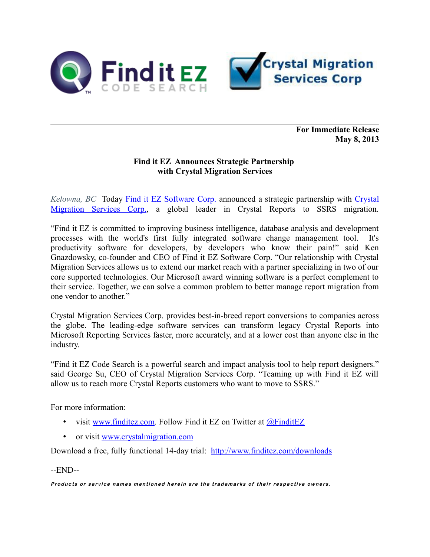

**For Immediate Release May 8, 2013**

## **Find it EZ Announces Strategic Partnership with Crystal Migration Services**

*Kelowna, BC* Today **Find it EZ Software Corp.** announced a strategic partnership with [Crystal](http://www.crystalmigration.com/) [Migration Services Corp.,](http://www.crystalmigration.com/) a global leader in Crystal Reports to SSRS migration.

"Find it EZ is committed to improving business intelligence, database analysis and development processes with the world's first fully integrated software change management tool. It's productivity software for developers, by developers who know their pain!" said Ken Gnazdowsky, co-founder and CEO of Find it EZ Software Corp. "Our relationship with Crystal Migration Services allows us to extend our market reach with a partner specializing in two of our core supported technologies. Our Microsoft award winning software is a perfect complement to their service. Together, we can solve a common problem to better manage report migration from one vendor to another."

Crystal Migration Services Corp. provides best-in-breed report conversions to companies across the globe. The leading-edge software services can transform legacy Crystal Reports into Microsoft Reporting Services faster, more accurately, and at a lower cost than anyone else in the industry.

"Find it EZ Code Search is a powerful search and impact analysis tool to help report designers." said George Su, CEO of Crystal Migration Services Corp. "Teaming up with Find it EZ will allow us to reach more Crystal Reports customers who want to move to SSRS."

For more information:

- visit [www.finditez.com.](https://www.finditez.com/company/#news) Follow Find it EZ on Twitter at  $@$ FinditEZ
- or visit [www.crystalmigration.com](http://www.crystalmigration.com/)

Download a free, fully functional 14-day trial: <http://www.finditez.com/downloads>

*--*END--

Products or service names mentioned herein are the trademarks of their respective owners.